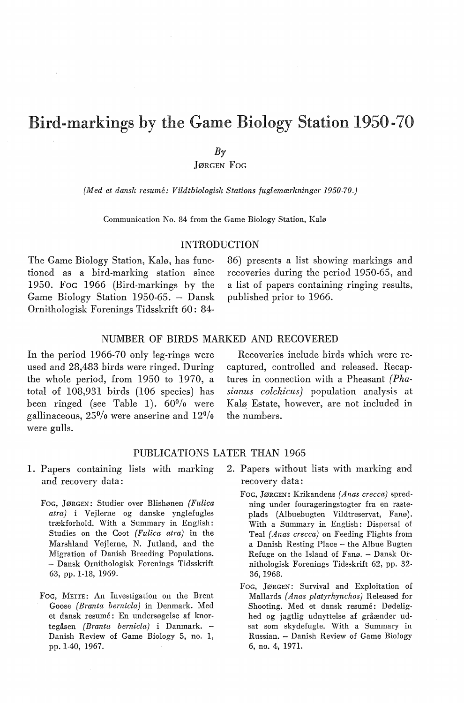# Bird-markings by the Game Biology Station 1950-70

 $B_{\gamma}$ 

JøRGEN Foc

*{Med et dansk resume: Vildtbiologisk Stations fuglemærkninger 1950-70.)* 

Communication No. 84 from the Game Biology Station, Kalø

## INTRODUCTION

The Game Biology Station, Kalø, has functioned as a hird-marking station since 1950. FoG 1966 (Bird-markings by the Game Biology Station 1950-65. - Dansk Ornithologisk Forenings Tidsskrift 60: 8486) presents a list showing markings and recoveries during the period 1950-65, and a list of papers containing ringing results, puhlished prior to 1966.

### NUMBER OF BIRDS MARKED AND RECOVERED

In the period 1966-70 only leg-rings were used and 28,483 hirds were ringed. During the whole period, from 1950 to 1970, a total of 108,931 hirds (106 species) has been ringed (see Table 1).  $60\%$  were gallinaceous,  $25\%$  were anserine and  $12\%$ were gulls.

Recoveries include hirds which were recaptured, controlled and released. Recaptures in connection with a Pheasant *(Phasianus colchicus)* population analysis at Kalø Estate, however, are not included in the numbers.

## PUBLICATIONS LATER THAN 1965

- 1. Papers containing lists with marking and recovery data:
	- FoG, JØRGEN: Studier over Blishønen *(Fulica atra)* i Vejlerne og danske ynglefugles trækforhold. With a Summary in English: Studies on the Coot *(Fulica atra)* in the Marshland Vejlerne, N. Jutland, and the Migration of Danish Breeding Populations. - Dansk Ornithologisk Forenings Tidsskrift 63, pp. 1-18, 1969.
	- FoG, METTE: An Investigation on the Brent Goose *{Branta bemicla)* in Denmark. Med et dansk resumé: En undersøgelse af knortegåsen *(Branta bemicla)* i Danmark. - Danish Review of Game Biology 5, no. 1, pp. 1-40, 1967.
- 2. Papers without lists with marking and recovery data:
	- FoG, JøRGEN: Krikandens *(Anas crecca)* spredning under fourageringstogter fra en rasteplads (Albuebugten Vildtreservat, Fanø). With a Summary in English: Dispersal of Teal *(Anas crecca)* on Feeding Flights from a Danish Resting Place - the Albue Bugten Refuge on the Island of Fanø. - Dansk Ornithologisk Forenings Tidsskrift 62, pp. 32- 36, 1968.
	- FoG, JØRGEN: Survival and Exploitation of Mallards *(Anas platyrhynchos)* Released for Shooting. Med et dansk resumé: Dødelighed og jagtlig udnyttelse af gråænder udsat som skydefugle. With a Summary in Russian. - Danish Review of Game Biology 6, no. 4, 1971.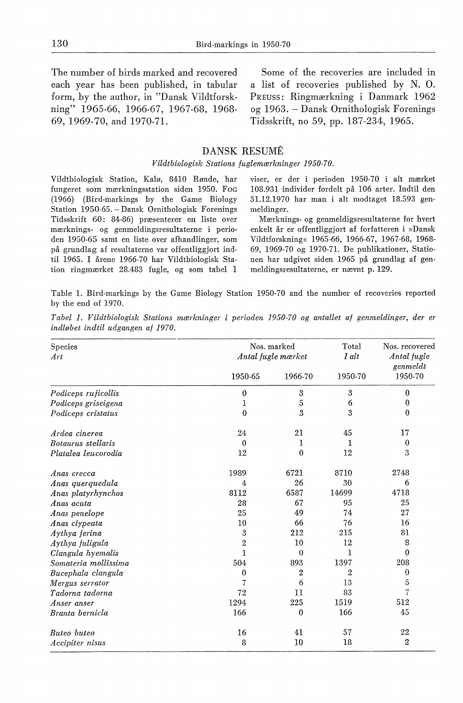The number of hirds marked and recovered each year has been published, in tabular form, by the author, in "Dansk Vildtforskning" 1965-66, 1966-67, 1967-68, 1968- 69, 1969-70, and 1970-71.

Some of the recoveries are included in a list of recoveries published by N. 0. PREUSS: Ringmærkning i Danmark 1962 og 1963. Dansk Ornithologisk Forenings Tidsskrift, no 59, pp. 187-234, 1965.

#### DANSK RESUME

#### *Vildtbiologisk Stations fuglemærkninger 1950-70.*

Vildtbiologisk Station, Kalø, 8410 Rønde, har fungeret som mærkningsstation siden 1950. FoG (1966) (Bird-markings by the Game Biology Station 1950-65. - Dansk Ornithologisk Forenings Tidsskrift 60: 84-86) præsenterer en liste over mærknings- og genmeldingsresultaterne i perioden 1950-65 samt en liste over afhandlinger, som på grundlag af resultaterne var offentliggjort indtil 1965. I årene 1966-70 har Vildtbiologisk Station ringmærket 28.483 fugle, og som tabel 1

viser, er der i perioden 1950-70 i alt mærket 108.931 individer fordelt på 106 arter. Indtil den 31.12.1970 har man i alt modtaget 18.593 genmeldinger.

Mærknings- og genmeldigsresultaterne for hvert enkelt år er offentliggjort af forfatteren i »Dansk Vildtforskning« 1965-66, 1966-67, 1967-68, 1968- 69, 1969-70 og 1970-71. De publikationer, Stationen har udgivet siden 1965 på grundlag af genmeldingsresultaterne, er nævnt p. 129.

Table 1. Bird-markings by the Game Biology Station 1950-70 and the number of recoveries reported by the end of 1970.

*Tabel 1. Vildtbiologisk Stations mærkninger i perioden 1950-70 og antallet af genmeldinger, der er indløbet indtil udgangen af 1970.* 

| Species<br>Art       | Nos. marked<br>Antal fugle mærket |              | Total<br>I alt | Nos. recovered<br>Antal fugle<br>genmeldt |
|----------------------|-----------------------------------|--------------|----------------|-------------------------------------------|
|                      | 1950-65                           | 1966-70      | 1950-70        | 1950-70                                   |
| Podiceps ruficollis  | $\bf{0}$                          | 3            | 3              | $\bf{0}$                                  |
| Podiceps griseigena  | 1                                 | 5            | 6              | 0                                         |
| Podiceps cristatus   | $\theta$                          | 3            | 3              | $\bf{0}$                                  |
| Ardea cinerea        | 24                                | 21           | 45             | 17                                        |
| Botaurus stellaris   | $\Omega$                          | 1            | 1              | 0                                         |
| Platalea leucorodia  | 12                                | $\mathbf{0}$ | 12             | 3                                         |
| Anas crecca          | 1989                              | 6721         | 8710           | 2748                                      |
| Anas querquedula     | 4                                 | 26           | 30             | 6                                         |
| Anas platyrhynchos   | 8112                              | 6587         | 14699          | 4718                                      |
| Anas acuta           | 28                                | 67           | 95             | 25                                        |
| Anas penelope        | 25                                | 49           | 74             | 27                                        |
| Anas clypeata        | 10                                | 66           | 76             | 16                                        |
| Aythya ferina        | 3                                 | 212          | 215            | 81                                        |
| Aythya fuligula      | $\overline{2}$                    | 10           | 12             | 8                                         |
| Clangula hyemalis    | 1                                 | $\Omega$     | 1              | 0                                         |
| Somateria mollissima | 504                               | 893          | 1397           | 208                                       |
| Bucephala clangula   | $\theta$                          | 2            | $\overline{2}$ | $\bf{0}$                                  |
| Mergus serrator      | 7                                 | 6            | 13             | 5                                         |
| Tadorna tadorna      | 72                                | 11           | 83             | 7                                         |
| Anser anser          | 1294                              | 225          | 1519           | 512                                       |
| Branta bernicla      | 166                               | $\mathbf{0}$ | 166            | 45                                        |
| Buteo buteo          | 16                                | 41           | 57             | 22                                        |
| Accipiter nisus      | 8                                 | 10           | 18             | 2                                         |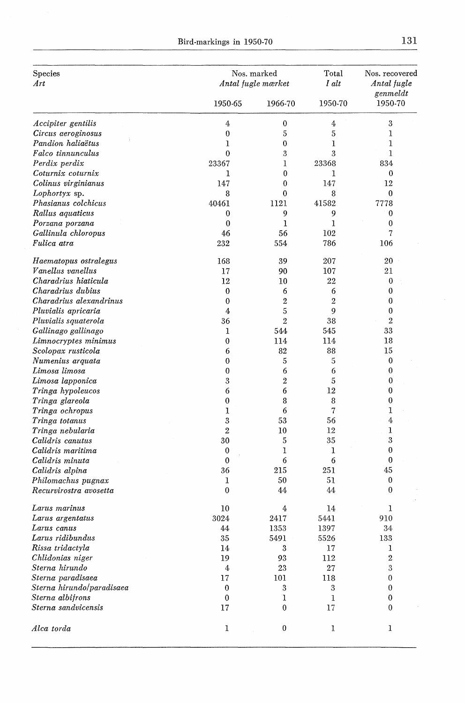| Species                   | Nos. marked      |                    | Total          | Nos. recovered<br>Antal fugle |
|---------------------------|------------------|--------------------|----------------|-------------------------------|
| Art                       |                  | Antal fugle mærket |                |                               |
|                           | 1950-65          | 1966-70            | 1950-70        | genmeldt<br>1950-70           |
| <i>Accipiter gentilis</i> | 4                | $\bf{0}$           | 4              | 3                             |
| Circus aeroginosus        | $\bf{0}$         | 5                  | 5              | 1                             |
| Pandion haliaëtus         | 1                | $\bf{0}$           | 1              | 1                             |
| Falco tinnunculus         | 0                | 3                  | 3              | 1                             |
| Perdix perdix             | 23367            | 1                  | 23368          | 834                           |
| Coturnix coturnix         | 1                | 0                  | I              | $\bf{0}$                      |
| Colinus virginianus       | 147              | 0                  | 147            | 12                            |
| Lophortyx sp.             | 8                | 0                  | 8              | 0                             |
| Phasianus colchicus       | 40461            | 1121               | 41582          | 7778                          |
| Rallus aquaticus          | $\bf{0}$         | 9                  | 9              | 0                             |
| Porzana porzana           | 0                | ı                  | 1              | $\mathbf{0}$                  |
| Gallinula chloropus       | 46               | 56                 | 102            | 7                             |
| Fulica atra               | 232              | 554                | 786            | 106                           |
| Haematopus ostralegus     | 168              | 39                 | 207            | 20                            |
| Vanellus vanellus         | 17               | 90                 | 107            | 21                            |
| Charadrius hiaticula      | 12               | 10                 | 22             | $\boldsymbol{0}$              |
| Charadrius dubius         | 0                | 6                  | 6              | 0                             |
| Charadrius alexandrinus   | $\mathbf{0}$     | $\overline{2}$     | $\overline{2}$ | 0                             |
| Pluvialis apricaria       | 4                | 5                  | 9              | 0                             |
| Pluvialis squaterola      | 36               | $\overline{2}$     | 38             | $\overline{2}$                |
| Gallinago gallinago       | 1                | 544                | 545            | 33                            |
| Limnocryptes minimus      | 0                | 114                | 114            | 18                            |
| Scolopax rusticola        | 6                | 82                 | 88             | 15                            |
| Numenius arquata          | 0                | 5                  | 5              | $\bf{0}$                      |
| Limosa limosa             | 0                | 6                  | 6              | $\bf{0}$                      |
| Limosa lapponica          | 3                | 2                  | 5              | 0                             |
| Tringa hypoleucos         | 6                | 6                  | 12             | 0                             |
| Tringa glareola           | $\boldsymbol{0}$ | 8                  | 8              | 0                             |
| Tringa ochropus           | 1                | 6                  | 7              | ı                             |
| Tringa totanus            | $\boldsymbol{3}$ | 53                 | 56             | 4                             |
| Tringa nebularia          | $\overline{2}$   | 10                 | 12             | 1                             |
| Calidris canutus          | 30               | 5                  | 35             | 3                             |
| Calidris maritima         | $\bf{0}$         | 1                  | 1              | $\bf{0}$                      |
| Calidris minuta           | $\bf{0}$         | 6                  | 6              | $\bf{0}$                      |
| Calidris alpina           | 36               | 215                | 251            | 45                            |
| Philomachus pugnax        | 1                | 50                 | 51             | $\bf{0}$                      |
| Recurvirostra avosetta    | $\mathbf{0}$     | 44                 | 44             | $\bf{0}$                      |
| Larus marinus             | 10               | 4                  | 14             | 1                             |
| Larus argentatus          | 3024             | 2417               | 5441           | 910                           |
| Larus canus               | 44               | 1353               | 1397           | 34                            |
| Larus ridibundus          | 35               | 5491               | 5526           | 133                           |
| Rissa tridactyla          | 14               | 3                  | 17             | 1                             |
| Chlidonias niger          | 19               | 93                 | 112            | $\boldsymbol{2}$              |
| Sterna hirundo            | $\boldsymbol{4}$ | 23                 | 27             | $\rm 3$                       |
| Sterna paradisaea         | 17               | 101                | 118            | 0                             |
| Sterna hirundo/paradisaea | 0                | 3                  | 3              | $\boldsymbol{0}$              |
| Sterna albifrons          | 0                | 1                  | 1              | 0                             |
| Sterna sandvicensis       | 17               | 0                  | 17             | $\mathbf{0}$                  |
| Alca torda                | 1                | 0                  | 1              | 1                             |